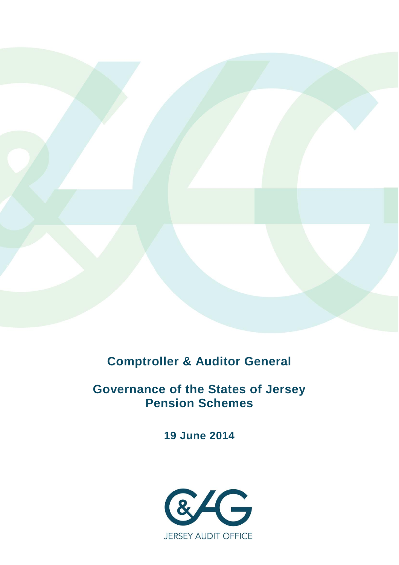

**Comptroller & Auditor General**

**Governance of the States of Jersey Pension Schemes**

**19 June 2014**

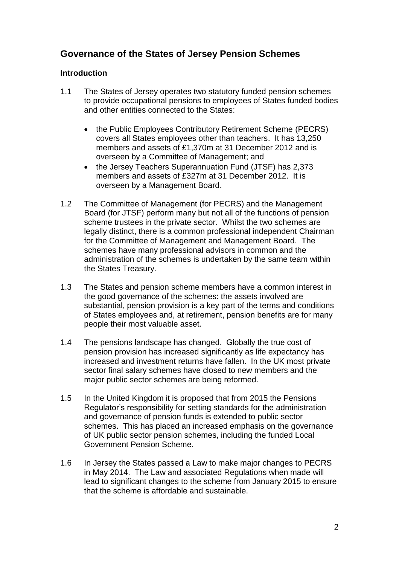# **Governance of the States of Jersey Pension Schemes**

## **Introduction**

- 1.1 The States of Jersey operates two statutory funded pension schemes to provide occupational pensions to employees of States funded bodies and other entities connected to the States:
	- the Public Employees Contributory Retirement Scheme (PECRS) covers all States employees other than teachers. It has 13,250 members and assets of £1,370m at 31 December 2012 and is overseen by a Committee of Management; and
	- the Jersey Teachers Superannuation Fund (JTSF) has 2,373 members and assets of £327m at 31 December 2012. It is overseen by a Management Board.
- 1.2 The Committee of Management (for PECRS) and the Management Board (for JTSF) perform many but not all of the functions of pension scheme trustees in the private sector. Whilst the two schemes are legally distinct, there is a common professional independent Chairman for the Committee of Management and Management Board. The schemes have many professional advisors in common and the administration of the schemes is undertaken by the same team within the States Treasury.
- 1.3 The States and pension scheme members have a common interest in the good governance of the schemes: the assets involved are substantial, pension provision is a key part of the terms and conditions of States employees and, at retirement, pension benefits are for many people their most valuable asset.
- 1.4 The pensions landscape has changed. Globally the true cost of pension provision has increased significantly as life expectancy has increased and investment returns have fallen. In the UK most private sector final salary schemes have closed to new members and the major public sector schemes are being reformed.
- 1.5 In the United Kingdom it is proposed that from 2015 the Pensions Regulator's responsibility for setting standards for the administration and governance of pension funds is extended to public sector schemes. This has placed an increased emphasis on the governance of UK public sector pension schemes, including the funded Local Government Pension Scheme.
- 1.6 In Jersey the States passed a Law to make major changes to PECRS in May 2014. The Law and associated Regulations when made will lead to significant changes to the scheme from January 2015 to ensure that the scheme is affordable and sustainable.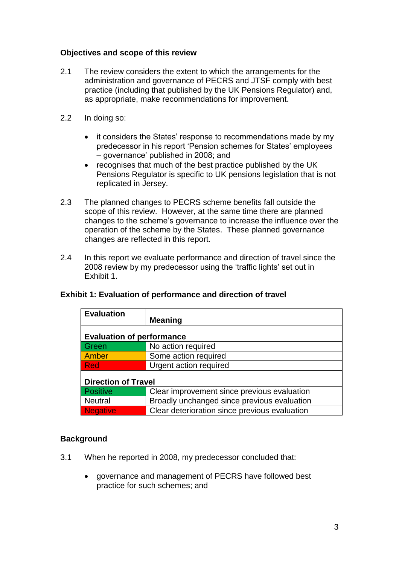# **Objectives and scope of this review**

- 2.1 The review considers the extent to which the arrangements for the administration and governance of PECRS and JTSF comply with best practice (including that published by the UK Pensions Regulator) and, as appropriate, make recommendations for improvement.
- 2.2 In doing so:
	- it considers the States' response to recommendations made by my predecessor in his report 'Pension schemes for States' employees – governance' published in 2008; and
	- recognises that much of the best practice published by the UK Pensions Regulator is specific to UK pensions legislation that is not replicated in Jersey.
- 2.3 The planned changes to PECRS scheme benefits fall outside the scope of this review. However, at the same time there are planned changes to the scheme's governance to increase the influence over the operation of the scheme by the States. These planned governance changes are reflected in this report.
- 2.4 In this report we evaluate performance and direction of travel since the 2008 review by my predecessor using the 'traffic lights' set out in Exhibit 1.

| <b>Evaluation</b>                |                                               |  |
|----------------------------------|-----------------------------------------------|--|
|                                  | <b>Meaning</b>                                |  |
| <b>Evaluation of performance</b> |                                               |  |
| Green                            | No action required                            |  |
| <b>Amber</b>                     | Some action required                          |  |
| <b>Red</b>                       | Urgent action required                        |  |
| <b>Direction of Travel</b>       |                                               |  |
| <b>Positive</b>                  | Clear improvement since previous evaluation   |  |
| <b>Neutral</b>                   | Broadly unchanged since previous evaluation   |  |
| <b>Negative</b>                  | Clear deterioration since previous evaluation |  |

#### **Exhibit 1: Evaluation of performance and direction of travel**

#### **Background**

- 3.1 When he reported in 2008, my predecessor concluded that:
	- governance and management of PECRS have followed best practice for such schemes; and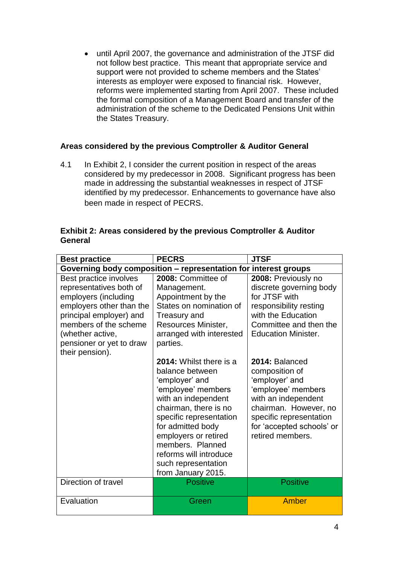until April 2007, the governance and administration of the JTSF did not follow best practice. This meant that appropriate service and support were not provided to scheme members and the States' interests as employer were exposed to financial risk. However, reforms were implemented starting from April 2007. These included the formal composition of a Management Board and transfer of the administration of the scheme to the Dedicated Pensions Unit within the States Treasury.

# **Areas considered by the previous Comptroller & Auditor General**

4.1 In Exhibit 2, I consider the current position in respect of the areas considered by my predecessor in 2008. Significant progress has been made in addressing the substantial weaknesses in respect of JTSF identified by my predecessor. Enhancements to governance have also been made in respect of PECRS.

| <b>Best practice</b>                                                                                                                                                                                                         | <b>PECRS</b>                                                                                                                                                                                                                                                                                          | <b>JTSF</b>                                                                                                                                                                                          |
|------------------------------------------------------------------------------------------------------------------------------------------------------------------------------------------------------------------------------|-------------------------------------------------------------------------------------------------------------------------------------------------------------------------------------------------------------------------------------------------------------------------------------------------------|------------------------------------------------------------------------------------------------------------------------------------------------------------------------------------------------------|
|                                                                                                                                                                                                                              | Governing body composition - representation for interest groups                                                                                                                                                                                                                                       |                                                                                                                                                                                                      |
| Best practice involves<br>representatives both of<br>employers (including<br>employers other than the<br>principal employer) and<br>members of the scheme<br>(whether active,<br>pensioner or yet to draw<br>their pension). | 2008: Committee of<br>Management.<br>Appointment by the<br>States on nomination of<br>Treasury and<br>Resources Minister,<br>arranged with interested<br>parties.                                                                                                                                     | 2008: Previously no<br>discrete governing body<br>for JTSF with<br>responsibility resting<br>with the Education<br>Committee and then the<br><b>Education Minister.</b>                              |
|                                                                                                                                                                                                                              | 2014: Whilst there is a<br>balance between<br>'employer' and<br>'employee' members<br>with an independent<br>chairman, there is no<br>specific representation<br>for admitted body<br>employers or retired<br>members. Planned<br>reforms will introduce<br>such representation<br>from January 2015. | 2014: Balanced<br>composition of<br>'employer' and<br>'employee' members<br>with an independent<br>chairman. However, no<br>specific representation<br>for 'accepted schools' or<br>retired members. |
| Direction of travel                                                                                                                                                                                                          | <b>Positive</b>                                                                                                                                                                                                                                                                                       | <b>Positive</b>                                                                                                                                                                                      |
| Evaluation                                                                                                                                                                                                                   | Green                                                                                                                                                                                                                                                                                                 | Amber                                                                                                                                                                                                |

#### **Exhibit 2: Areas considered by the previous Comptroller & Auditor General**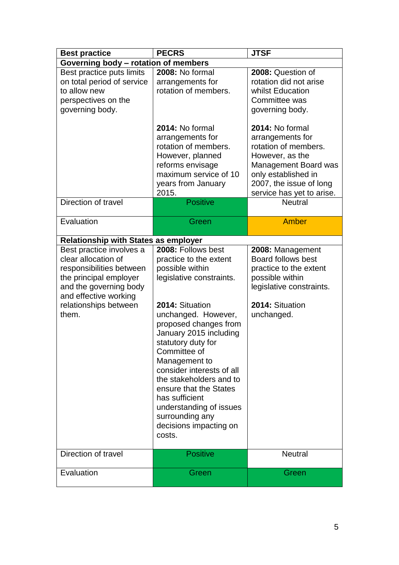| <b>Best practice</b>                                                                                                                                                                       | <b>PECRS</b>                                                                                                                                                                                                                                                                                                                                                                                                                          | <b>JTSF</b>                                                                                                                                                                           |
|--------------------------------------------------------------------------------------------------------------------------------------------------------------------------------------------|---------------------------------------------------------------------------------------------------------------------------------------------------------------------------------------------------------------------------------------------------------------------------------------------------------------------------------------------------------------------------------------------------------------------------------------|---------------------------------------------------------------------------------------------------------------------------------------------------------------------------------------|
| Governing body - rotation of members                                                                                                                                                       |                                                                                                                                                                                                                                                                                                                                                                                                                                       |                                                                                                                                                                                       |
| Best practice puts limits<br>on total period of service<br>to allow new<br>perspectives on the<br>governing body.                                                                          | 2008: No formal<br>arrangements for<br>rotation of members.                                                                                                                                                                                                                                                                                                                                                                           | 2008: Question of<br>rotation did not arise<br>whilst Education<br>Committee was<br>governing body.                                                                                   |
|                                                                                                                                                                                            | 2014: No formal<br>arrangements for<br>rotation of members.<br>However, planned<br>reforms envisage<br>maximum service of 10<br>years from January<br>2015.                                                                                                                                                                                                                                                                           | 2014: No formal<br>arrangements for<br>rotation of members.<br>However, as the<br>Management Board was<br>only established in<br>2007, the issue of long<br>service has yet to arise. |
| Direction of travel                                                                                                                                                                        | <b>Positive</b>                                                                                                                                                                                                                                                                                                                                                                                                                       | <b>Neutral</b>                                                                                                                                                                        |
| Evaluation                                                                                                                                                                                 | Green                                                                                                                                                                                                                                                                                                                                                                                                                                 | <b>Amber</b>                                                                                                                                                                          |
| <b>Relationship with States as employer</b>                                                                                                                                                |                                                                                                                                                                                                                                                                                                                                                                                                                                       |                                                                                                                                                                                       |
| Best practice involves a<br>clear allocation of<br>responsibilities between<br>the principal employer<br>and the governing body<br>and effective working<br>relationships between<br>them. | 2008: Follows best<br>practice to the extent<br>possible within<br>legislative constraints.<br>2014: Situation<br>unchanged. However,<br>proposed changes from<br>January 2015 including<br>statutory duty for<br>Committee of<br>Management to<br>consider interests of all<br>the stakeholders and to<br>ensure that the States<br>has sufficient<br>understanding of issues<br>surrounding any<br>decisions impacting on<br>costs. | 2008: Management<br><b>Board follows best</b><br>practice to the extent<br>possible within<br>legislative constraints.<br>2014: Situation<br>unchanged.                               |
| Direction of travel                                                                                                                                                                        | <b>Positive</b>                                                                                                                                                                                                                                                                                                                                                                                                                       | <b>Neutral</b>                                                                                                                                                                        |
| Evaluation                                                                                                                                                                                 | Green                                                                                                                                                                                                                                                                                                                                                                                                                                 | Green                                                                                                                                                                                 |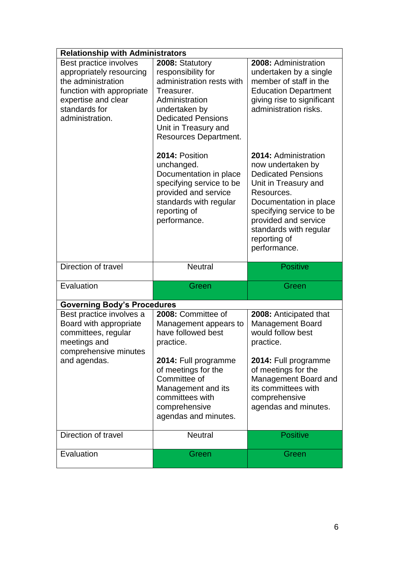| <b>Relationship with Administrators</b>                                                                                                                                  |                                                                                                                                                                                                   |                                                                                                                                                                                                                                                      |  |
|--------------------------------------------------------------------------------------------------------------------------------------------------------------------------|---------------------------------------------------------------------------------------------------------------------------------------------------------------------------------------------------|------------------------------------------------------------------------------------------------------------------------------------------------------------------------------------------------------------------------------------------------------|--|
| Best practice involves<br>appropriately resourcing<br>the administration<br>function with appropriate<br>expertise and clear<br>standards for<br>administration.         | 2008: Statutory<br>responsibility for<br>administration rests with<br>Treasurer.<br>Administration<br>undertaken by<br><b>Dedicated Pensions</b><br>Unit in Treasury and<br>Resources Department. | 2008: Administration<br>undertaken by a single<br>member of staff in the<br><b>Education Department</b><br>giving rise to significant<br>administration risks.                                                                                       |  |
|                                                                                                                                                                          | 2014: Position<br>unchanged.<br>Documentation in place<br>specifying service to be<br>provided and service<br>standards with regular<br>reporting of<br>performance.                              | 2014: Administration<br>now undertaken by<br><b>Dedicated Pensions</b><br>Unit in Treasury and<br>Resources.<br>Documentation in place<br>specifying service to be<br>provided and service<br>standards with regular<br>reporting of<br>performance. |  |
|                                                                                                                                                                          |                                                                                                                                                                                                   |                                                                                                                                                                                                                                                      |  |
| Direction of travel                                                                                                                                                      | <b>Neutral</b>                                                                                                                                                                                    | <b>Positive</b>                                                                                                                                                                                                                                      |  |
| Evaluation                                                                                                                                                               | Green                                                                                                                                                                                             | Green                                                                                                                                                                                                                                                |  |
|                                                                                                                                                                          |                                                                                                                                                                                                   |                                                                                                                                                                                                                                                      |  |
| <b>Governing Body's Procedures</b><br>Best practice involves a<br>Board with appropriate<br>committees, regular<br>meetings and<br>comprehensive minutes<br>and agendas. | 2008: Committee of<br>Management appears to<br>have followed best<br>practice.<br>2014: Full programme                                                                                            | 2008: Anticipated that<br><b>Management Board</b><br>would follow best<br>practice.<br>2014: Full programme                                                                                                                                          |  |
|                                                                                                                                                                          | of meetings for the<br>Committee of<br>Management and its<br>committees with<br>comprehensive<br>agendas and minutes.                                                                             | of meetings for the<br>Management Board and<br>its committees with<br>comprehensive<br>agendas and minutes.                                                                                                                                          |  |
| Direction of travel                                                                                                                                                      | <b>Neutral</b>                                                                                                                                                                                    | <b>Positive</b>                                                                                                                                                                                                                                      |  |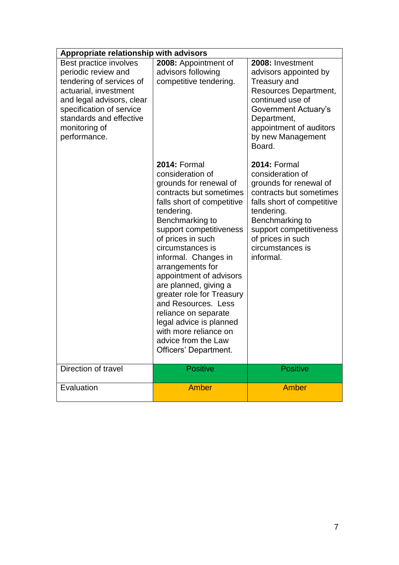| Appropriate relationship with advisors                                                                                                                                                                                  |                                                                                                                                                                                                                                                                                                                                                                                                                                                                                                                 |                                                                                                                                                                                                                                              |  |
|-------------------------------------------------------------------------------------------------------------------------------------------------------------------------------------------------------------------------|-----------------------------------------------------------------------------------------------------------------------------------------------------------------------------------------------------------------------------------------------------------------------------------------------------------------------------------------------------------------------------------------------------------------------------------------------------------------------------------------------------------------|----------------------------------------------------------------------------------------------------------------------------------------------------------------------------------------------------------------------------------------------|--|
| Best practice involves<br>periodic review and<br>tendering of services of<br>actuarial, investment<br>and legal advisors, clear<br>specification of service<br>standards and effective<br>monitoring of<br>performance. | 2008: Appointment of<br>advisors following<br>competitive tendering.                                                                                                                                                                                                                                                                                                                                                                                                                                            | 2008: Investment<br>advisors appointed by<br>Treasury and<br>Resources Department,<br>continued use of<br>Government Actuary's<br>Department,<br>appointment of auditors<br>by new Management<br>Board.                                      |  |
|                                                                                                                                                                                                                         | <b>2014: Formal</b><br>consideration of<br>grounds for renewal of<br>contracts but sometimes<br>falls short of competitive<br>tendering.<br>Benchmarking to<br>support competitiveness<br>of prices in such<br>circumstances is<br>informal. Changes in<br>arrangements for<br>appointment of advisors<br>are planned, giving a<br>greater role for Treasury<br>and Resources. Less<br>reliance on separate<br>legal advice is planned<br>with more reliance on<br>advice from the Law<br>Officers' Department. | <b>2014: Formal</b><br>consideration of<br>grounds for renewal of<br>contracts but sometimes<br>falls short of competitive<br>tendering.<br>Benchmarking to<br>support competitiveness<br>of prices in such<br>circumstances is<br>informal. |  |
| Direction of travel                                                                                                                                                                                                     | <b>Positive</b>                                                                                                                                                                                                                                                                                                                                                                                                                                                                                                 | <b>Positive</b>                                                                                                                                                                                                                              |  |
| Evaluation                                                                                                                                                                                                              | <b>Amber</b>                                                                                                                                                                                                                                                                                                                                                                                                                                                                                                    | <b>Amber</b>                                                                                                                                                                                                                                 |  |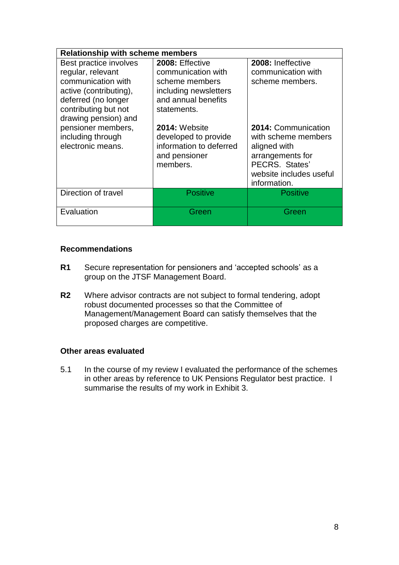| <b>Relationship with scheme members</b>                                                                                                                            |                                                                                                                        |                                                                                                                                             |
|--------------------------------------------------------------------------------------------------------------------------------------------------------------------|------------------------------------------------------------------------------------------------------------------------|---------------------------------------------------------------------------------------------------------------------------------------------|
| Best practice involves<br>regular, relevant<br>communication with<br>active (contributing),<br>deferred (no longer<br>contributing but not<br>drawing pension) and | 2008: Effective<br>communication with<br>scheme members<br>including newsletters<br>and annual benefits<br>statements. | 2008: Ineffective<br>communication with<br>scheme members.                                                                                  |
| pensioner members,<br>including through<br>electronic means.                                                                                                       | 2014: Website<br>developed to provide<br>information to deferred<br>and pensioner<br>members.                          | 2014: Communication<br>with scheme members<br>aligned with<br>arrangements for<br>PECRS. States'<br>website includes useful<br>information. |
| Direction of travel                                                                                                                                                | <b>Positive</b>                                                                                                        | <b>Positive</b>                                                                                                                             |
| Evaluation                                                                                                                                                         | Green                                                                                                                  | Green                                                                                                                                       |

#### **Recommendations**

- **R1** Secure representation for pensioners and 'accepted schools' as a group on the JTSF Management Board.
- **R2** Where advisor contracts are not subject to formal tendering, adopt robust documented processes so that the Committee of Management/Management Board can satisfy themselves that the proposed charges are competitive.

#### **Other areas evaluated**

5.1 In the course of my review I evaluated the performance of the schemes in other areas by reference to UK Pensions Regulator best practice. I summarise the results of my work in Exhibit 3.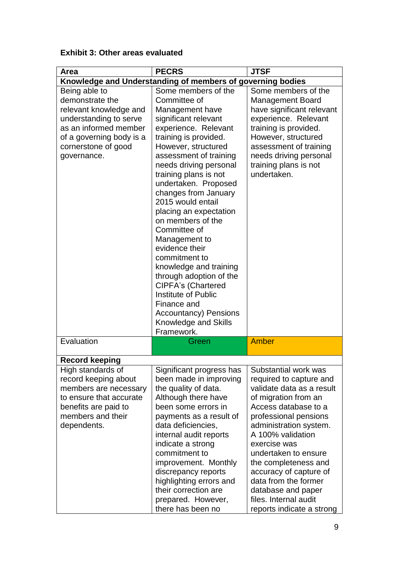# **Exhibit 3: Other areas evaluated**

| Area                                            | <b>PECRS</b>                                               | <b>JTSF</b>                                      |
|-------------------------------------------------|------------------------------------------------------------|--------------------------------------------------|
|                                                 | Knowledge and Understanding of members of governing bodies |                                                  |
| Being able to<br>demonstrate the                | Some members of the<br>Committee of                        | Some members of the                              |
|                                                 |                                                            | <b>Management Board</b>                          |
| relevant knowledge and                          | Management have                                            | have significant relevant                        |
| understanding to serve<br>as an informed member | significant relevant                                       | experience. Relevant                             |
|                                                 | experience. Relevant                                       | training is provided.                            |
| of a governing body is a                        | training is provided.<br>However, structured               | However, structured                              |
| cornerstone of good<br>governance.              | assessment of training                                     | assessment of training<br>needs driving personal |
|                                                 | needs driving personal                                     | training plans is not                            |
|                                                 | training plans is not                                      | undertaken.                                      |
|                                                 | undertaken. Proposed                                       |                                                  |
|                                                 | changes from January                                       |                                                  |
|                                                 | 2015 would entail                                          |                                                  |
|                                                 | placing an expectation                                     |                                                  |
|                                                 | on members of the                                          |                                                  |
|                                                 | Committee of                                               |                                                  |
|                                                 | Management to                                              |                                                  |
|                                                 | evidence their                                             |                                                  |
|                                                 | commitment to                                              |                                                  |
|                                                 | knowledge and training                                     |                                                  |
|                                                 | through adoption of the                                    |                                                  |
|                                                 | <b>CIPFA's (Chartered</b>                                  |                                                  |
|                                                 | Institute of Public                                        |                                                  |
|                                                 | Finance and                                                |                                                  |
|                                                 | <b>Accountancy) Pensions</b>                               |                                                  |
|                                                 | Knowledge and Skills                                       |                                                  |
|                                                 | Framework.                                                 |                                                  |
| Evaluation                                      | Green                                                      | <b>Amber</b>                                     |
| <b>Record keeping</b>                           |                                                            |                                                  |
| High standards of                               | Significant progress has                                   | Substantial work was                             |
| record keeping about                            | been made in improving                                     | required to capture and                          |
| members are necessary                           | the quality of data.                                       | validate data as a result                        |
| to ensure that accurate                         | Although there have                                        | of migration from an                             |
| benefits are paid to                            | been some errors in                                        | Access database to a                             |
| members and their                               | payments as a result of                                    | professional pensions                            |
| dependents.                                     | data deficiencies,                                         | administration system.                           |
|                                                 | internal audit reports                                     | A 100% validation                                |
|                                                 | indicate a strong                                          | exercise was                                     |
|                                                 | commitment to                                              | undertaken to ensure                             |
|                                                 | improvement. Monthly                                       | the completeness and                             |
|                                                 | discrepancy reports                                        | accuracy of capture of                           |
|                                                 | highlighting errors and                                    | data from the former                             |
|                                                 | their correction are                                       | database and paper                               |
|                                                 | prepared. However,                                         | files. Internal audit                            |
|                                                 | there has been no                                          | reports indicate a strong                        |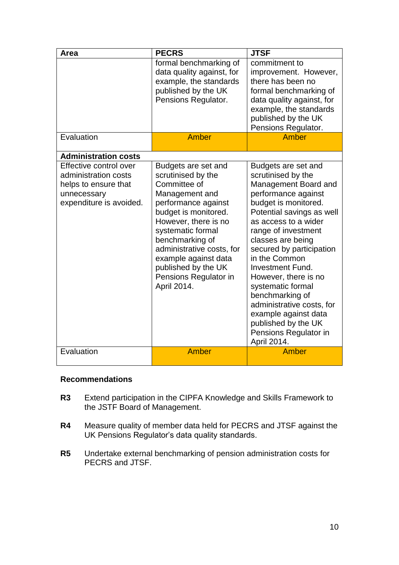| Area                                                                                                             | <b>PECRS</b>                                                                                                                                                                                                                                                                                                   | <b>JTSF</b>                                                                                                                                                                                                                                                                                                                                                                                                                                                                   |
|------------------------------------------------------------------------------------------------------------------|----------------------------------------------------------------------------------------------------------------------------------------------------------------------------------------------------------------------------------------------------------------------------------------------------------------|-------------------------------------------------------------------------------------------------------------------------------------------------------------------------------------------------------------------------------------------------------------------------------------------------------------------------------------------------------------------------------------------------------------------------------------------------------------------------------|
|                                                                                                                  | formal benchmarking of<br>data quality against, for<br>example, the standards<br>published by the UK<br>Pensions Regulator.                                                                                                                                                                                    | commitment to<br>improvement. However,<br>there has been no<br>formal benchmarking of<br>data quality against, for<br>example, the standards<br>published by the UK<br>Pensions Regulator.                                                                                                                                                                                                                                                                                    |
| Evaluation                                                                                                       | Amber                                                                                                                                                                                                                                                                                                          | Amber                                                                                                                                                                                                                                                                                                                                                                                                                                                                         |
| <b>Administration costs</b>                                                                                      |                                                                                                                                                                                                                                                                                                                |                                                                                                                                                                                                                                                                                                                                                                                                                                                                               |
| Effective control over<br>administration costs<br>helps to ensure that<br>unnecessary<br>expenditure is avoided. | Budgets are set and<br>scrutinised by the<br>Committee of<br>Management and<br>performance against<br>budget is monitored.<br>However, there is no<br>systematic formal<br>benchmarking of<br>administrative costs, for<br>example against data<br>published by the UK<br>Pensions Regulator in<br>April 2014. | Budgets are set and<br>scrutinised by the<br>Management Board and<br>performance against<br>budget is monitored.<br>Potential savings as well<br>as access to a wider<br>range of investment<br>classes are being<br>secured by participation<br>in the Common<br><b>Investment Fund.</b><br>However, there is no<br>systematic formal<br>benchmarking of<br>administrative costs, for<br>example against data<br>published by the UK<br>Pensions Regulator in<br>April 2014. |
| Evaluation                                                                                                       | Amber                                                                                                                                                                                                                                                                                                          | Amber                                                                                                                                                                                                                                                                                                                                                                                                                                                                         |

#### **Recommendations**

- **R3** Extend participation in the CIPFA Knowledge and Skills Framework to the JSTF Board of Management.
- **R4** Measure quality of member data held for PECRS and JTSF against the UK Pensions Regulator's data quality standards.
- **R5** Undertake external benchmarking of pension administration costs for PECRS and JTSF.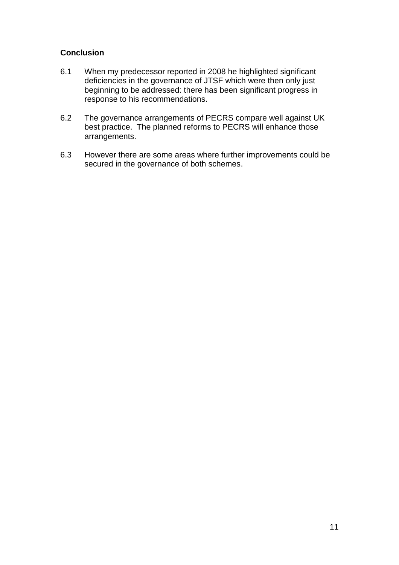# **Conclusion**

- 6.1 When my predecessor reported in 2008 he highlighted significant deficiencies in the governance of JTSF which were then only just beginning to be addressed: there has been significant progress in response to his recommendations.
- 6.2 The governance arrangements of PECRS compare well against UK best practice. The planned reforms to PECRS will enhance those arrangements.
- 6.3 However there are some areas where further improvements could be secured in the governance of both schemes.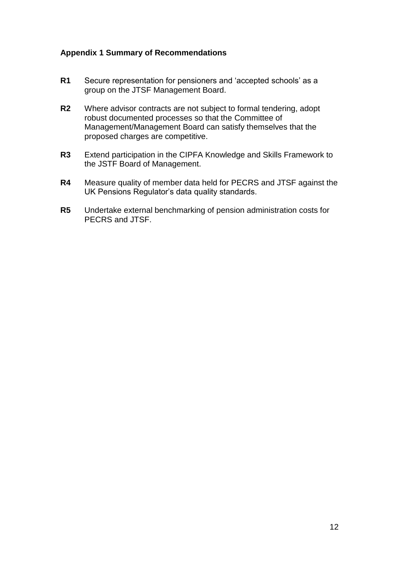# **Appendix 1 Summary of Recommendations**

- **R1** Secure representation for pensioners and 'accepted schools' as a group on the JTSF Management Board.
- **R2** Where advisor contracts are not subject to formal tendering, adopt robust documented processes so that the Committee of Management/Management Board can satisfy themselves that the proposed charges are competitive.
- **R3** Extend participation in the CIPFA Knowledge and Skills Framework to the JSTF Board of Management.
- **R4** Measure quality of member data held for PECRS and JTSF against the UK Pensions Regulator's data quality standards.
- **R5** Undertake external benchmarking of pension administration costs for PECRS and JTSF.